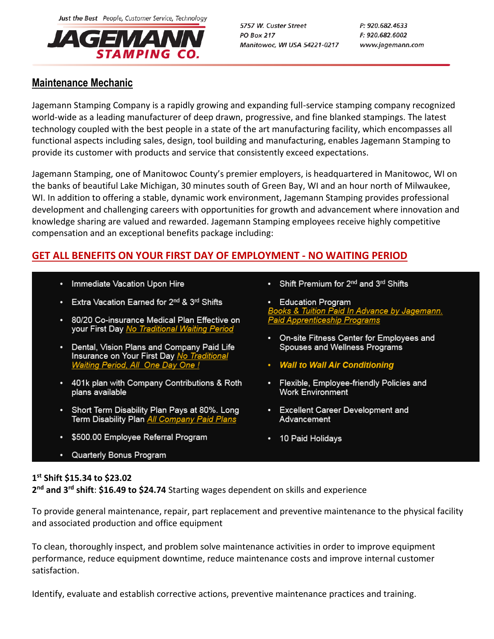Just the Best People, Customer Service, Technology



5757 W. Custer Street **PO Box 217** Manitowoc, WI USA 54221-0217 P: 920.682.4633 F: 920.682.6002 www.jagemann.com

## **Maintenance Mechanic**

Jagemann Stamping Company is a rapidly growing and expanding full-service stamping company recognized world-wide as a leading manufacturer of deep drawn, progressive, and fine blanked stampings. The latest technology coupled with the best people in a state of the art manufacturing facility, which encompasses all functional aspects including sales, design, tool building and manufacturing, enables Jagemann Stamping to provide its customer with products and service that consistently exceed expectations.

Jagemann Stamping, one of Manitowoc County's premier employers, is headquartered in Manitowoc, WI on the banks of beautiful Lake Michigan, 30 minutes south of Green Bay, WI and an hour north of Milwaukee, WI. In addition to offering a stable, dynamic work environment, Jagemann Stamping provides professional development and challenging careers with opportunities for growth and advancement where innovation and knowledge sharing are valued and rewarded. Jagemann Stamping employees receive highly competitive compensation and an exceptional benefits package including:

# **GET ALL BENEFITS ON YOUR FIRST DAY OF EMPLOYMENT - NO WAITING PERIOD**

- Immediate Vacation Upon Hire
- Extra Vacation Earned for 2<sup>nd</sup> & 3<sup>rd</sup> Shifts
- 80/20 Co-insurance Medical Plan Effective on your First Day No Traditional Waiting Period
- Dental, Vision Plans and Company Paid Life Insurance on Your First Day No Traditional **Waiting Period, All One Day One !**
- 401k plan with Company Contributions & Roth plans available
- Short Term Disability Plan Pays at 80%. Long Term Disability Plan All Company Paid Plans
- \$500.00 Employee Referral Program
- Quarterly Bonus Program
- Shift Premium for 2<sup>nd</sup> and 3<sup>rd</sup> Shifts
- **Education Program** Books & Tuition Paid In Advance by Jagemann.<br>Paid Apprenticeship Programs
- On-site Fitness Center for Employees and Spouses and Wellness Programs
- Wall to Wall Air Conditioning
- Flexible, Employee-friendly Policies and **Work Environment**
- Excellent Career Development and Advancement
- 10 Paid Holidays

## **1 st Shift \$15.34 to \$23.02**

**2 nd and 3rd shift**: **\$16.49 to \$24.74** Starting wages dependent on skills and experience

To provide general maintenance, repair, part replacement and preventive maintenance to the physical facility and associated production and office equipment

To clean, thoroughly inspect, and problem solve maintenance activities in order to improve equipment performance, reduce equipment downtime, reduce maintenance costs and improve internal customer satisfaction.

Identify, evaluate and establish corrective actions, preventive maintenance practices and training.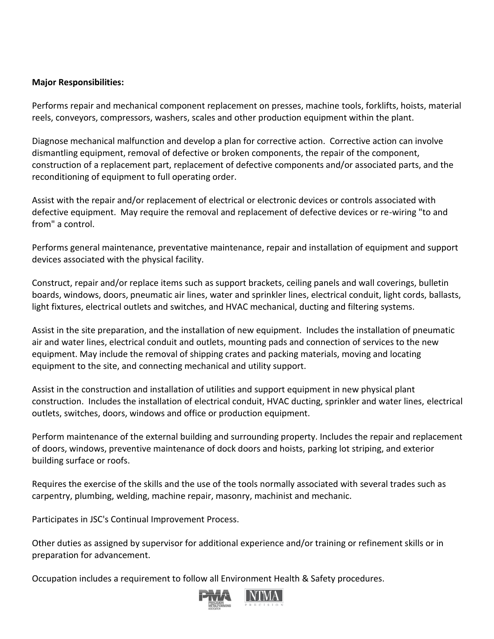### **Major Responsibilities:**

Performs repair and mechanical component replacement on presses, machine tools, forklifts, hoists, material reels, conveyors, compressors, washers, scales and other production equipment within the plant.

Diagnose mechanical malfunction and develop a plan for corrective action. Corrective action can involve dismantling equipment, removal of defective or broken components, the repair of the component, construction of a replacement part, replacement of defective components and/or associated parts, and the reconditioning of equipment to full operating order.

Assist with the repair and/or replacement of electrical or electronic devices or controls associated with defective equipment. May require the removal and replacement of defective devices or re-wiring "to and from" a control.

Performs general maintenance, preventative maintenance, repair and installation of equipment and support devices associated with the physical facility.

Construct, repair and/or replace items such as support brackets, ceiling panels and wall coverings, bulletin boards, windows, doors, pneumatic air lines, water and sprinkler lines, electrical conduit, light cords, ballasts, light fixtures, electrical outlets and switches, and HVAC mechanical, ducting and filtering systems.

Assist in the site preparation, and the installation of new equipment. Includes the installation of pneumatic air and water lines, electrical conduit and outlets, mounting pads and connection of services to the new equipment. May include the removal of shipping crates and packing materials, moving and locating equipment to the site, and connecting mechanical and utility support.

Assist in the construction and installation of utilities and support equipment in new physical plant construction. Includes the installation of electrical conduit, HVAC ducting, sprinkler and water lines, electrical outlets, switches, doors, windows and office or production equipment.

Perform maintenance of the external building and surrounding property. Includes the repair and replacement of doors, windows, preventive maintenance of dock doors and hoists, parking lot striping, and exterior building surface or roofs.

Requires the exercise of the skills and the use of the tools normally associated with several trades such as carpentry, plumbing, welding, machine repair, masonry, machinist and mechanic.

Participates in JSC's Continual Improvement Process.

Other duties as assigned by supervisor for additional experience and/or training or refinement skills or in preparation for advancement.

Occupation includes a requirement to follow all Environment Health & Safety procedures.